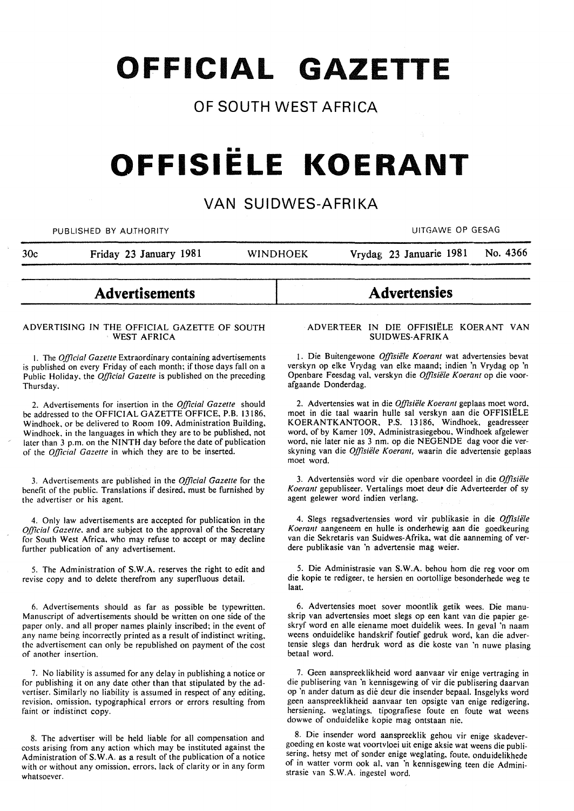**OFFICIAL GAZETTE** 

# **OF SOUTH WEST AFRICA**

# •• **OFFISIELE KOERANT**

# **VAN SUIDWES-AFRIKA**

PUBLISHED BY AUTHORITY **AUTHORITY EXECUTES EXAMPLE 2018 THE SECOND METAL CONTRANTS OF GESAGRAPH** 

30c Friday 23 January 1981 WINDHOEK Vrydag 23 Januarie 1981 No. 4366

# **Advertisements**

#### ADVERTISING IN THE OFFICIAL GAZETTE OF SOUTH WEST AFRICA

I. The *Official Gazelle* Extraordinary containing advertisements is published on every Friday of each month; if those days fall on a Public Holiday. the *Official Gazelle* is published on the preceding Thursday.

2. Advertisements for insertion in the *Official Gazette* should be addressed to the OFFICIAL GAZETTE OFFICE, P.B. 13186, Windhoek. or be delivered to Room 109. Administration Building, Windhoek. in the languages in which they are to be published, not later than 3 p.m. on the NINTH day before the date of publication of the *Official Gazette* in which they are to be inserted.

3. Advertisements are published in the *Official Gazette* for the benefit of the public. Translations if desired. must be furnished by the advertiser or his agent.

4. Only law advertisements are accepted for publication in the *Official Gazelle.* and are subject to the approval of the Secretary for South West Africa. who may refuse to accept or may decline further publication of any advertisement.

5. The Administration of S.W.A. reserves the right to edit and revise copy and to delete therefrom any superfluous detail.

6. Advertisements should as far as possible be typewritten. Manuscript of advertisements should be written on one side of the paper only, and all proper names plainly inscribed; in the event of any name being incorrectly printed as a result of indistinct writing. the advertisement can only be republished on payment of the cost of another insertion.

7. No liability is assumed for any delay in publishing a notice or for publishing it on any date other than that stipulated by the advertiser. Similarly no liability is assumed in respect of any editing. revision. omission. typographical errors or errors resulting from faint or indistinct copy.

8. The advertiser will be held liable for all compensation and costs arising from any action which may be instituted against the Administration of S. W.A. as a result of the publication of a notice with or without any omission. errors. lack of clarity or in any form whatsoever.

# **Advertensies**

#### ADVERTEER IN DIE OFFISIELE KOERANT VAN SUIDWES-AFRIKA

1. Die Buitengewone *Offisiële Koerant* wat advertensies bevat verskyn op elke Vrydag van elke maand; indien 'n Vrydag op 'n Openbare Feesdag val. verskyn die *Offisiele Koerant* op die voorafgaande Donderdag.

2. Advertensies wat in die *Offisiele Koerant* geplaas moet word, moet in die taal waarin hulle sal verskyn aan die OFFISIELE KOERANTKANTOOR, P.S. 13186, Windhoek, geadresseer word, of by Kamer 109, Administrasiegebou. Windhoek afgelewer word, nie later nie as 3 nm. op die NEGENDE dag voor die verskyning van die *Offisiele Koerant,* waarin die advertensie geplaas moet word.

3. Advertensies word vir die openbare voordeel in die *Offisiele*  Koerant gepubliseer. Vertalings moet deut die Adverteerder of sy agent gelewer word indien verlang.

4. Slegs regsadvertensies word vir publikasie in die *Offisiele Koerant* aangeneem en hulle is onderhewig aan die goedkeuring van die Sekretaris van Suidwes-Afrika, wat die aanneming of verdere publikasie van 'n advertensie mag weier.

5. Die Administrasie van S.W.A. behou hom die reg voor om die kopie te redigeer, te hersien en oortollige besonderhede weg te laat.

6. Advertensies moet sover moontlik getik wees. Die manuskrip van advertensies moet slegs op een kant van die papier geskryf word en aile eiename moet duidelik wees. In geval 'n naam weens onduidelike handskrif foutief gedruk word, kan die advertensie slegs dan herdruk word as die koste van 'n nuwe plasing betaal word.

7. Geen aanspreeklikheid word aanvaar vir enige vertraging in die publisering van 'n kennisgewing of vir die publisering daarvan op 'n ander datum as die deur die insender bepaal. Insgelyks word geen aanspreeklikheid aanvaar ten opsigte van enige redigering. hersiening. weglatings. tipografiese foute en foute wat weens dowwe of onduidelike kopie mag ontstaan nie.

8. Die insender word aanspreeklik gehou vir enige skadevergoeding en koste wat voortvloei uit enige aksie wat weens die publisering, hetsy met of sonder enige weglating, foute, onduidelikhede of in watter vorm ook al. van 'n kennisgewing teen die Administrasie van S.W.A. ingestel word.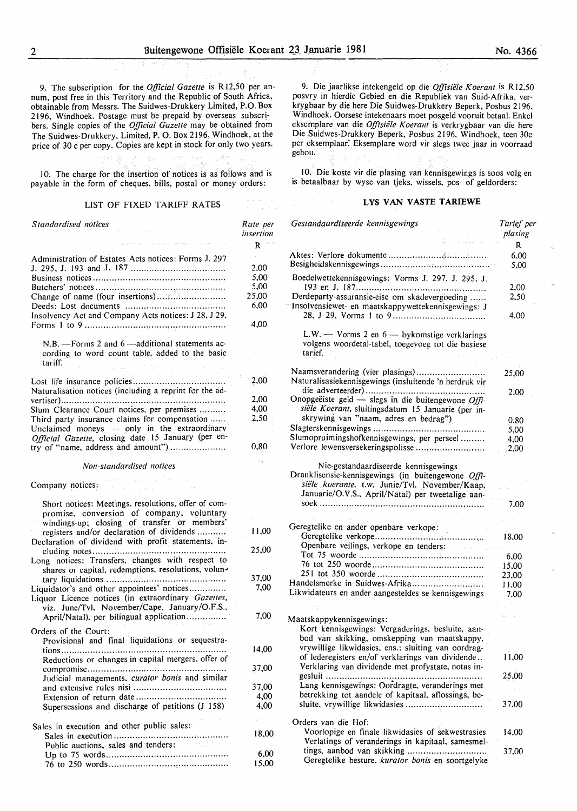9. The subscription for the *Official Gazette* is R12,50 per annum, post free in this Territory and the Republic of South Africa, obtainable from Messrs. The Suidwes-Drukkery Limited, P.O. Box 2196, Windhoek. Postage must be prepaid by overseas subscribers. Single copies of the *Official Gazette* may be obtained from The Suidwes-Drukkery, Limited, P. 0. Box 2196, Windhoek, at the price of 30 c per copy. Copies are kept in stock for only two years.

10. The charge for the insertion of notices is as follows and is payable in the form of cheques, bills, postal or money orders:

#### LIST OF FIXED TARIFF RATES

| Standardised notices                                                                                                                                                                                                                                 | Rate per<br>insertion                         |
|------------------------------------------------------------------------------------------------------------------------------------------------------------------------------------------------------------------------------------------------------|-----------------------------------------------|
|                                                                                                                                                                                                                                                      | $\mathbf{R}$                                  |
| Administration of Estates Acts notices: Forms J. 297<br>Insolvency Act and Company Acts notices: J 28, J 29,                                                                                                                                         | 2.00<br>5,00<br>5,00<br>25,00<br>6,00<br>4,00 |
| N.B. - Forms 2 and 6 - additional statements ac-<br>cording to word count table, added to the basic<br>tariff.                                                                                                                                       |                                               |
| Naturalisation notices (including a reprint for the ad-                                                                                                                                                                                              | 2,00                                          |
|                                                                                                                                                                                                                                                      | 2,00                                          |
| Slum Clearance Court notices, per premises<br>Third party insurance claims for compensation<br>Unclaimed moneys - only in the extraordinary<br>Official Gazette, closing date 15 January (per en-<br>try of "name, address and amount")              | 4,00<br>2,50<br>0,80                          |
|                                                                                                                                                                                                                                                      |                                               |
| Non-standardised notices                                                                                                                                                                                                                             |                                               |
| $\mathcal{A} \rightarrow \mathcal{H}_1$ and $\mathcal{H}_2$ . In particular,<br>Company notices:<br>Service Store                                                                                                                                    |                                               |
| Short notices: Meetings, resolutions, offer of com-<br>promise, conversion of company, voluntary<br>windings-up; closing of transfer or members'<br>registers and/or declaration of dividends<br>Declaration of dividend with profit statements, in- | $\sim$ $\sim$<br>11,00                        |
| Long notices: Transfers, changes with respect to                                                                                                                                                                                                     | 25,00                                         |
| shares or capital, redemptions, resolutions, volun-                                                                                                                                                                                                  | 37,00                                         |
| Liquidator's and other appointees' notices<br>Liquor Licence notices (in extraordinary Gazettes,<br>viz. June/Tvl, November/Cape, January/O.F.S.,                                                                                                    | 7,00                                          |
| April/Natal), per bilingual application                                                                                                                                                                                                              | 7,00                                          |
| Orders of the Court:<br>Provisional and final liquidations or sequestra-                                                                                                                                                                             | 14,00                                         |
| Reductions or changes in capital mergers, offer of                                                                                                                                                                                                   | 37,00                                         |
| Judicial managements, curator bonis and similar                                                                                                                                                                                                      |                                               |
|                                                                                                                                                                                                                                                      | 37.00                                         |
| Supersessions and discharge of petitions (J 158)                                                                                                                                                                                                     | 4,00<br>4,00                                  |
|                                                                                                                                                                                                                                                      |                                               |
| Sales in execution and other public sales:<br>Public auctions, sales and tenders:                                                                                                                                                                    | 18,00                                         |
|                                                                                                                                                                                                                                                      | 6,00                                          |
|                                                                                                                                                                                                                                                      | 15,00                                         |

9. Die jaarlikse intekengeld op die *Offisiele K oerant* is R 12,50 posvry in hierdie Gebied en die Republiek van Suid-Afrika, verkrygbaar by die here Die Suidwes-Drukkery Beperk, Posbus 2196, Windhoek. Oorsese intekenaars moet posgeld vooruit betaal. Enkel eksemplare van die *Offisiele K oerant* is verkrygbaar van die here Die Suidwes-Drukkery Beperk, Posbus 2196, Windhoek, teen 30c per eksemplaar: Eksemplare word vir slegs twee jaar in voorraad gehou.

10. Die koste vir die plasing van kennisgewings is soos volg en is betaalbaar by wyse van tjeks. wissels, pos- of geldorders:

#### **LYS VAN VASTE TARIEWE**

| Gestandaardiseerde kennisgewings                                                                                                                                                                  | Tarief per<br>plasing |
|---------------------------------------------------------------------------------------------------------------------------------------------------------------------------------------------------|-----------------------|
|                                                                                                                                                                                                   | R                     |
|                                                                                                                                                                                                   | 6,00                  |
|                                                                                                                                                                                                   | 5.00                  |
| Boedelwettekennisgewings: Vorms J. 297, J. 295, J.                                                                                                                                                |                       |
| Derdeparty-assuransie-eise om skadevergoeding                                                                                                                                                     | 2,00<br>2,50          |
| Insolvensiewet- en maatskappywettekennisgewings: J                                                                                                                                                |                       |
|                                                                                                                                                                                                   | 4.00                  |
| L.W. - Vorms 2 en $6$ - bykomstige verklarings<br>volgens woordetal-tabel, toegevoeg tot die basiese                                                                                              |                       |
| tarief.                                                                                                                                                                                           |                       |
| Naamsverandering (vier plasings)                                                                                                                                                                  |                       |
| Naturalisasiekennisgewings (insluitende 'n herdruk vir                                                                                                                                            | 25,00                 |
|                                                                                                                                                                                                   | 2.00                  |
| Onopgeëiste geld — slegs in die buitengewone Offi-                                                                                                                                                |                       |
| siële Koerant, sluitingsdatum 15 Januarie (per in-                                                                                                                                                |                       |
| skrywing van "naam, adres en bedrag")                                                                                                                                                             | 0.80                  |
|                                                                                                                                                                                                   | 5,00                  |
| Slumopruimingshofkennisgewings, per perseel                                                                                                                                                       | 4,00                  |
| Verlore lewensversekeringspolisse                                                                                                                                                                 | 2,00                  |
| Nie-gestandaardiseerde kennisgewings<br>Dranklisensie-kennisgewings (in buitengewone Offi-<br>siële koerante, t.w. Junie/Tvl. November/Kaap,<br>Januarie/O.V.S., April/Natal) per tweetalige aan- | 7,00                  |
|                                                                                                                                                                                                   |                       |
| Geregtelike en ander openbare verkope:                                                                                                                                                            |                       |
|                                                                                                                                                                                                   | 18.00                 |
| Openbare veilings, verkope en tenders:                                                                                                                                                            |                       |
|                                                                                                                                                                                                   | 6,00<br>15,00         |
|                                                                                                                                                                                                   | 23,00                 |
| Handelsmerke in Suidwes-Afrika                                                                                                                                                                    | 11,00                 |
| Likwidateurs en ander aangesteldes se kennisgewings                                                                                                                                               | 7.00                  |
|                                                                                                                                                                                                   |                       |
| Maatskappykennisgewings:                                                                                                                                                                          |                       |
| Kort kennisgewings: Vergaderings, besluite, aan-                                                                                                                                                  |                       |
| bod van skikking, omskepping van maatskappy,                                                                                                                                                      |                       |
| vrywillige likwidasies, ens.; sluiting van oordrag-                                                                                                                                               |                       |
| of lederegisters en/of verklarings van dividende                                                                                                                                                  | 11,00                 |
| Verklaring van dividende met profystate, notas in-                                                                                                                                                |                       |
|                                                                                                                                                                                                   | 25,00                 |
| Lang kennisgewings: Oordragte, veranderings met                                                                                                                                                   |                       |
| betrekking tot aandele of kapitaal, aflossings, be-                                                                                                                                               |                       |
| sluite, vrywillige likwidasies                                                                                                                                                                    | 37,00                 |
| Orders van die Hof:                                                                                                                                                                               |                       |
| Voorlopige en finale likwidasies of sekwestrasies                                                                                                                                                 | 14.00                 |
| Verlatings of veranderings in kapitaal, samesmel-                                                                                                                                                 |                       |
| tings, aanbod van skikking<br>Geregtelike besture, kurator bonis en soortgelyke                                                                                                                   | 37,00                 |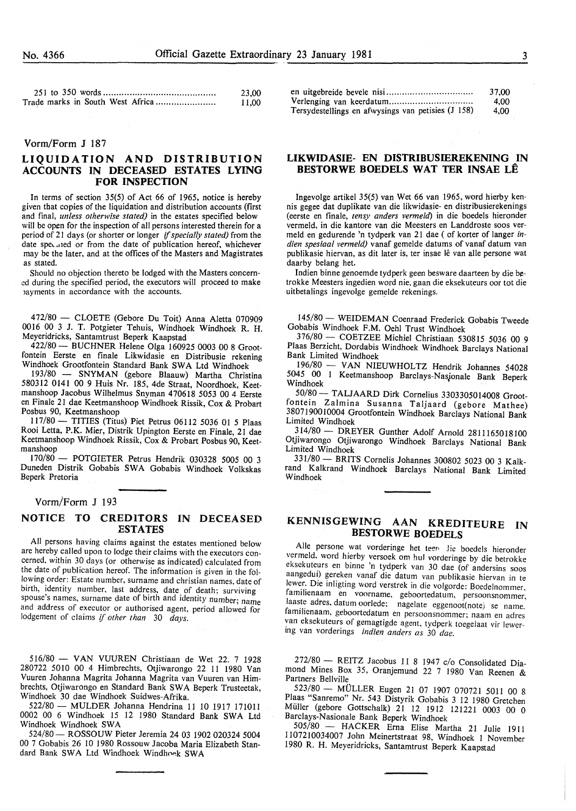| 23.00 |
|-------|
| 11,00 |

#### Vorm/Form J 187

## LIQUIDATION AND DISTRIBUTION ACCOUNTS IN DECEASED ESTATES LYING FOR INSPECTION

In terms of section 35(5) of Act 66 of I965, notice is hereby given that copies of the liquidation and distribution accounts (first and fmal, *unless otherwise stated)* in the estates specified below will be open for the inspection of all persons interested therein for a period of 21 days (or shorter or longer if *specially stated)* from the date speculed or from the date of publication hereof, whichever may be the later, and at the offices of the Masters and Magistrates as stated.

Should no objection thereto be lodged with the Masters concerned during the specified period, the executors will proceed to make myments in accordance with the accounts.

4 72/80 - CLOETE (Gebore Du Toit) Anna Aletta 070909 OOI6 00 3 J. T. Potgieter Tehuis, Windhoek Windhoek R. H. Meyeridricks, Santamtrust Beperk Kaapstad

422/80- BUCHNER Helene Olga I60925 0003 00 8 Grootfontein Eerste en finale Likwidasie en Distribusie rekening Windhoek Grootfontein Standard Bank SWA Ltd Windhoek

193/80 - SNYMAN (gebore Blaauw) Martha Christina 580312 0141 00 9 Huis Nr. 185, 4de Straat, Noordhoek, Keetmanshoop Jacobus Wilhelmus Snyman 470618 5053 00 4 Eerste en Finale 21 dae Keetmanshoop Windhoek Rissik, Cox & Probart Posbus 90, Keetmanshoop

I 17/80- TITlES (Titus) Piet Petrus 06112 5036 01 5 Plaas Rooi Letta, P.K. Mier, Distrik Upington Eerste en Finale, 21 dae Keetmanshoop Windhoek Rissik, Cox & Probart Posbus 90, Keetmanshoop

170/80 - POTGIETER Petrus Hendrik 030328 5005 00 3 Duneden Distrik Gobabis SWA Gobabis Windhoek Volkskas Beperk Pretoria

#### Vorm/Form J 193

#### NOTICE TO CREDITORS IN DECEASED ESTATES

All persons having claims against the estates mentioned below are hereby called upon to lodge their claims with the executors concerned, within 30 days (or otherwise as indicated) calculated from the date of publication hereof. The information is given in the following order: Estate number, surname and christian names. date of birth, identity number. last address, date of death; surviving spouse's names, surname date of birth and identity number; name and address of executor or authorised agent. period allowed for lodgement of claims if *other than* 30 *days.* 

516/80 - VAN VUUREN Christiaan de Wet 22. 7 1928 280722 5010 00 4 Himbrechts, Otjiwarongo 22 II 1980 Van Vuuren Johanna Magrita Johanna Magrita van Vuuren van Himbrechts, Otjiwarongo en Standard Bank SW A Beperk Trusteetak, Windhoek 30 dae Windhoek Suidwes-Afrika.

522/80- MULDER Johanna Hendrina II 10 1917 1710Il 0002 00 6 Windhoek 15 12 1980 Standard Bank SWA Ltd Windhoek Windhoek SWA

524/80- ROSSOUW Pieter Jeremia 24 03 1902 020324 5004 00 7 Gobabis 26 10 I980 Rossouw Jacoba Maria Elizabeth Standard Bank SWA Ltd Windhoek Windhoek SWA

|                                                    | 37.00 |
|----------------------------------------------------|-------|
|                                                    | 4.00  |
| Tersydestellings en afwysings van petisies (J 158) | 4.00  |

### LIKWIDASIE- EN DISTRIBUSffiREKENING IN BESTORWE BOEDELS WAT TER INSAE LE

Ingevolge artikel 35(5) van Wet 66 van 1965, word hierby kennis gegee dat duplikate van die likwidasie- en distribusierekenings (eerste en finale, *tensy anders vermeld)* in die boedels hieronder vermeld, in die kantore van die Meesters en Landdroste soos vermeld en gedurende 'n tydperk van 21 dae ( of korter of Ianger *indien spesiaal vermeld)* vanaf gemelde datums of vanaf datum van publikasie hiervan, as dit later is, ter insae lê van alle persone wat daarby belang het.

Indien binne genoemde tydperk geen besware daarteen by die betrokke Meesters ingedien word nie; gaan die eksekuteurs oor tot die uitbetalings ingevolge gemelde rekenings.

145/80 - WEIDEMAN Coenraad Frederick Gobabis Tweede Gobabis Windhoek F.M. Oehl Trust Windhoek

376/80- COETZEE Michie! Christiaan 530815 5036 00 9 Plaas Berzicht, Dordabis Windhoek Windhoek Barclays National Bank Limited Windhoek

196/80 - VAN NIEUWHOLTZ Hendrik Johannes 54028 5045 00 1 Keetmanshoop Barclays-Nasjonale Bank Beperk Windhoek

50/80- TALJAARD Dirk Cornelius 3303305014008 Grootfontein Zalmina Susanna Taljaard (gebore Mathee) 3807190010004 Grootfontein Windhoek Barclays National Bank Limited Windhoek

314/80- DREYER Gunther Adolf Arnold 2811165018100 Otjiwarongo Otjiwarongo Windhoek Barclays National Bank Limited Windhoek

331/80- BRITS Cornelis Johannes 300802 5023 00 3 Kalkrand Kalkrand Windhoek Barclays National Bank Limited Windhoek

# KENNISGEWING AAN KREDITEURE IN BESTORWE BOEDELS

Aile persone wat vorderinge het teen *lie* boedels hieronder vermeld. word hierby versoek om hul vorderinge by die betrokke eksekuteurs en binne 'n tydperk van 30 dae (of andersins soos aangedut) gereken vanaf die datum van publikasie hiervan in te lewer. Die inligting word verstrek in die volgorde: Boedelnommer. familienaam en voorname, geboortedatum, persoonsnommer, laaste adres, datum oorlede: nagelate eggenoot(note) se name. famthenaam, geboortedatum en persoonsnommer; naam en adres van eksekuteurs of gemagtigde agent, tydperk toegelaat vir lewermg van vorderings *indien anders as* 30 *dae.* 

272/80- REITZ Jacobus 11 8 1947 c/o Consolidated Diamond Mines Box 35, Oranjemund 22 7 1980 Van Reenen & Partners Bellville

523/80- MULLER Eugen 21 07 I907 070721 5011 00 8 Plaas "Sanremo" Nr. 543 Distyrik Gobabis 3 12 1980 Gretchen Muller (gebore Gottschalk) 21 12 1912 121221 0003 00 0 Barclays-Nasionale Bank Beperk Windhoek

505/80 - HACKER Erna Elise Martha 21 Julie I911 1107210034007 John Meinertstraat 98, Windhoek 1 November 1980 R. H. Meyeridricks, Santamtrust Beperk Kaapstad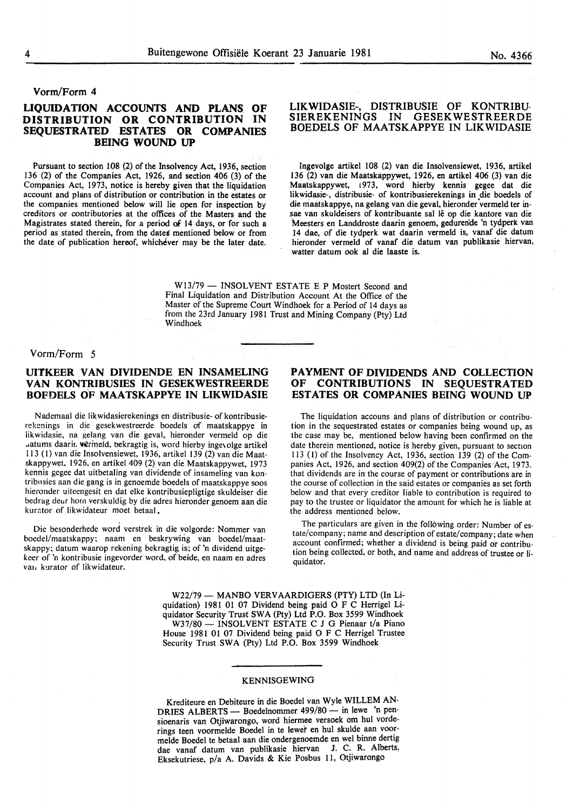#### Vorm/Form 4

# LIQUIDATION ACCOUNTS AND PLANS OF<br>DISTRIBUTION OR CONTRIBUTION IN DISTRIBUTION OR CONTRIBUTION SEQUESTRATED ESTATES OR COMPANIES BEING WOUND UP

Pursuant to section 108 (2) of the Insolvency Act, 1936, section 136 (2) of the Companies Act, 1926, and section 406 (3) of the Companies Act, 1973, notice is hereby given that the liquidation account and plans of distribution or contribution in the estates or the companies mentioned below will lie open for inspection by creditors or contributories at the offices of the Masters and the Magistrates stated therein, for a period of 14 days, or for such a period as stated therein, from the dates mentioned below or from the date of publication hereof, whichever may be the later date.

#### LIKWIDASIE-, DISTRIBUSIE OF KONTRIBU-SIEREKENINGS IN GESEKWESTREERDE BOEDELS OF MAATSKAPPYE IN LIKWIDASIE

Ingevolge artikel 108 {2) van die Insolvensiewet, 1936, artikel 136 (2) van die Maatskappywet, 1926, en artikel 406 (3) van die Maatskappywet, 1973, word hierby kennis gegee dat die likwidasie-, distribusie- of kontribusierekenings in die boedels of die maatskappye, na gelang van die geval, hieronder vermeld ter insae van skuldeisers of kontribuante sal le op die kantore van die Meesters en Landdroste daarin genoem, gedurende 'n tydperk van 14 dae, of die tydperk wat daarin vermeld is, vanaf die datum hieronder vermeld of vanaf die datum van publikasie hiervan, watter datum ook al die laaste is.

W13/79 - INSOLVENT ESTATE E P Mostert Second and Final Liquidation and Distribution Account At the Office of the Master of the Supreme Court Windhoek for a Period of 14 days as from the 23rd January 1981 Trust and Mining Company (Pty) Ltd Windhoek

#### Vorm/Form 5

## UITKEER VAN DIVIDENDE EN INSAMELING VAN KONTRIBUSIES IN GESEKWESTREERDE BOFDELS OF MAATSKAPPYE IN LIKWIDASIE

Nademaal die likwidasierekenings en distribusie- of kontribusierekcnings in die gcsekwestreerde boedels of maatskappye in iikwidasie, na gelang van die geval, hieronder vermeld op die .. atums daarii. vermeld, bekragtig is, word hierby inge\olge artikel 113 (I) van die Insolvensiewet, 1936, artikel 139 (2) van die Maatskappywet, 1926, en artikel 409 (2) van die Maatskappywet, 1973 kennis gegee dat uitbetaling van dividende of insameling van kontribnsies aan die gang is in genoemde boedels of maatskappye soos hieronder uiteengesit en dat elke kontribusiepligtige skuldeiser die bedrag deur horn verskuldig by die adres hieronder genoem aan die kurator of likwidateur moet betaal.

Die besonderhede word verstrek in die volgorde: Nommer van boedel/maatskappy; naam en beskrywing van boedel/maatskappy; datum waarop rekening bekragtig is; of 'n dividend uitgekeer of 'n kontribusie ingevorder word, of beide, en naam en adres van kurator of likwidateur.

## PAYMENT OF DIVIDENDS AND COLLECTION OF CONTRIBUTIONS IN SEQUESTRATED ESTATES OR COMPANIES BEING WOUND UP

The liquidation accouns and plans of distribution or contribution in the sequestrated estates or companies being wound up, as the case may be, mentioned below having been confirmed on the date therein mentioned, notice is hereby given, pursuant to section 113 (1) of the Insolvency Act, 1936, section 139 (2) of the Companies Act, 1926, and section 409(2) of the Companies Act, 1973. that dividends are in the course of payment or contributions are in the course of collection in the said estates or companies as set forth below and that every creditor liable to contribution is required to pay to the trustee or liquidator the amount for which he is liable at the address mentioned below.

The particulars are given in the following order: Number of estate/company; name and description of estate/company; date when account confirmed; whether a dividend is being paid or contribution being collected, or both, and name and address of trustee or liquidator.

W22/79 - MANBO VERVAARDIGERS (PTY) LTD (In Liquidation) 1981 01 07 Dividend being paid 0 F C Herrigel Liquidator Security Trust SWA (Pty) Ltd P.O. Box 3599 Windhoek W37/80 - INSOLVENT ESTATE C J G Pienaar t/a Piano House 1981 01 07 Dividend being paid 0 F C Herrigel Trustee Security Trust SWA (Pty) Ltd P.O. Box 3599 Windhoek

#### KENNISGEWING

Krediteure en Debiteure in die Boedel van Wyle WILLEM AN-DRIES ALBERTS - Boedelnommer 499/80 - in lewe 'n pensioenaris van Otjiwarongo, word hiermee versoek om hul vorderings teen voormelde Boedel in te lewer en hul skulde aan voormelde Boedel te betaal aan die ondergenoemde en wel binne dertig dae vanaf datum van publikasie hiervan J. C. R. Alberts, Eksekutriese, p/a A. Davids & Kie Posbus 11, Otjiwarongo